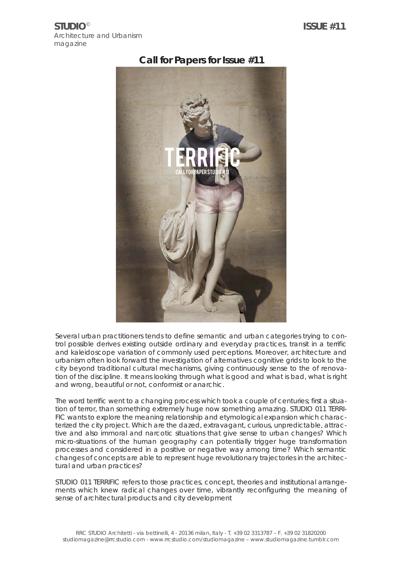**STUDIO**© Architecture and Urbanism magazine

# **Call for Papers for Issue #11**



Several urban practitioners tends to define semantic and urban categories trying to control possible derives existing outside ordinary and everyday practices, transit in a terrific and kaleidoscope variation of commonly used perceptions. Moreover, architecture and urbanism often look forward the investigation of alternatives cognitive grids to look to the city beyond traditional cultural mechanisms, giving continuously sense to the of renovation of the discipline. It means looking through what is good and what is bad, what is right and wrong, beautiful or not, conformist or anarchic.

The word terrific went to a changing process which took a couple of centuries; first a situation of terror, than something extremely huge now something amazing. STUDIO 011 TERRI-FIC wants to explore the meaning relationship and etymological expansion which characterized the city project. Which are the dazed, extravagant, curious, unpredictable, attractive and also immoral and narcotic situations that give sense to urban changes? Which micro-situations of the human geography can potentially trigger huge transformation processes and considered in a positive or negative way among time? Which semantic changes of concepts are able to represent huge revolutionary trajectories in the architectural and urban practices?

STUDIO 011 TERRIFIC refers to those practices, concept, theories and institutional arrangements which knew radical changes over time, vibrantly reconfiguring the meaning of sense of architectural products and city development